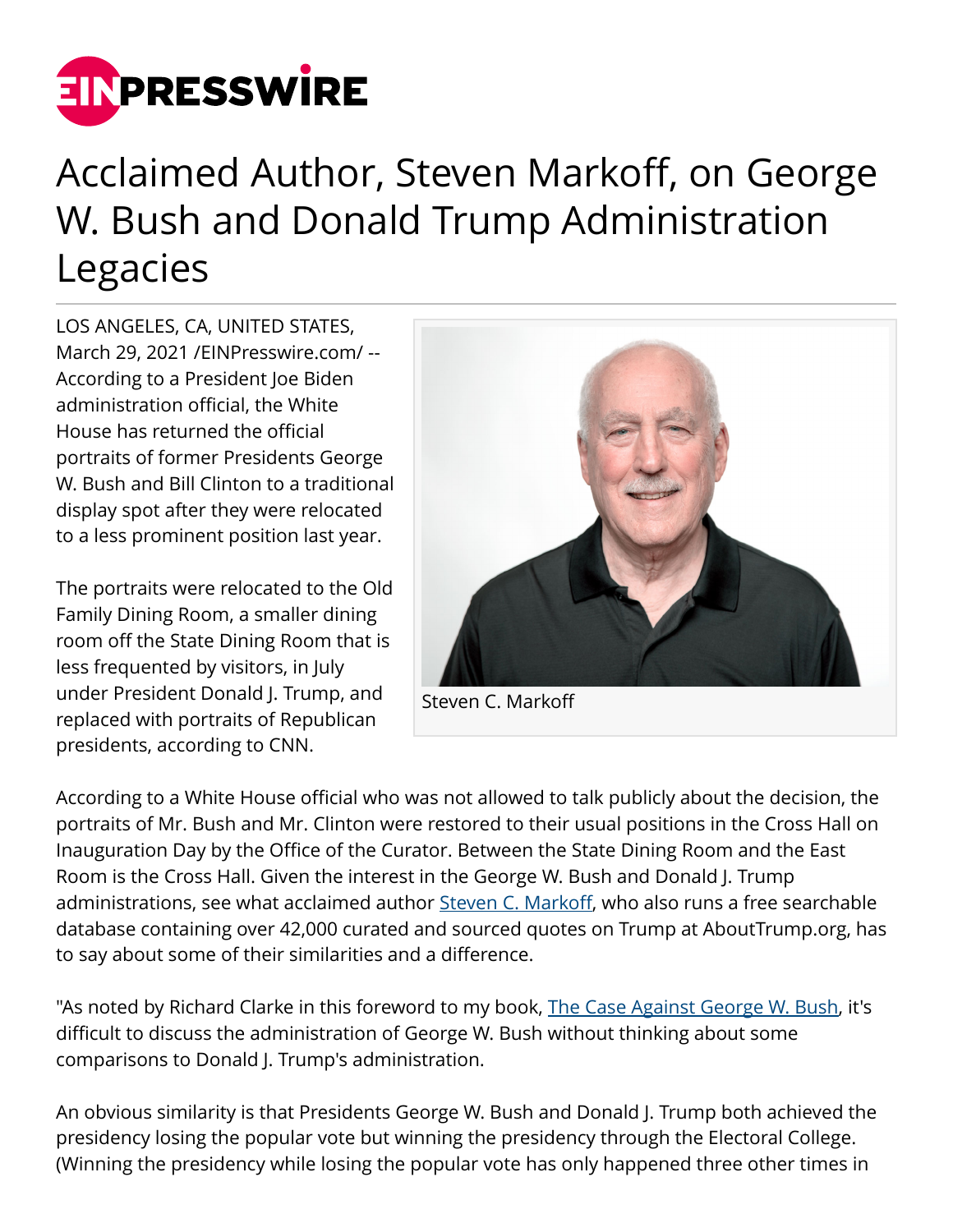

## Acclaimed Author, Steven Markoff, on George W. Bush and Donald Trump Administration Legacies

LOS ANGELES, CA, UNITED STATES, March 29, 2021 /[EINPresswire.com](http://www.einpresswire.com)/ -- According to a President Joe Biden administration official, the White House has returned the official portraits of former Presidents George W. Bush and Bill Clinton to a traditional display spot after they were relocated to a less prominent position last year.

The portraits were relocated to the Old Family Dining Room, a smaller dining room off the State Dining Room that is less frequented by visitors, in July under President Donald J. Trump, and replaced with portraits of Republican presidents, according to CNN.



Steven C. Markoff

According to a White House official who was not allowed to talk publicly about the decision, the portraits of Mr. Bush and Mr. Clinton were restored to their usual positions in the Cross Hall on Inauguration Day by the Office of the Curator. Between the State Dining Room and the East Room is the Cross Hall. Given the interest in the George W. Bush and Donald J. Trump administrations, see what acclaimed author [Steven C. Markoff,](http://stevencmarkoff.com/) who also runs a free searchable database containing over 42,000 curated and sourced quotes on Trump at AboutTrump.org, has to say about some of their similarities and a difference.

"As noted by Richard Clarke in this foreword to my book, [The Case Against George W. Bush,](http://thecaseagainstgeorgewbush.org/) it's difficult to discuss the administration of George W. Bush without thinking about some comparisons to Donald J. Trump's administration.

An obvious similarity is that Presidents George W. Bush and Donald J. Trump both achieved the presidency losing the popular vote but winning the presidency through the Electoral College. (Winning the presidency while losing the popular vote has only happened three other times in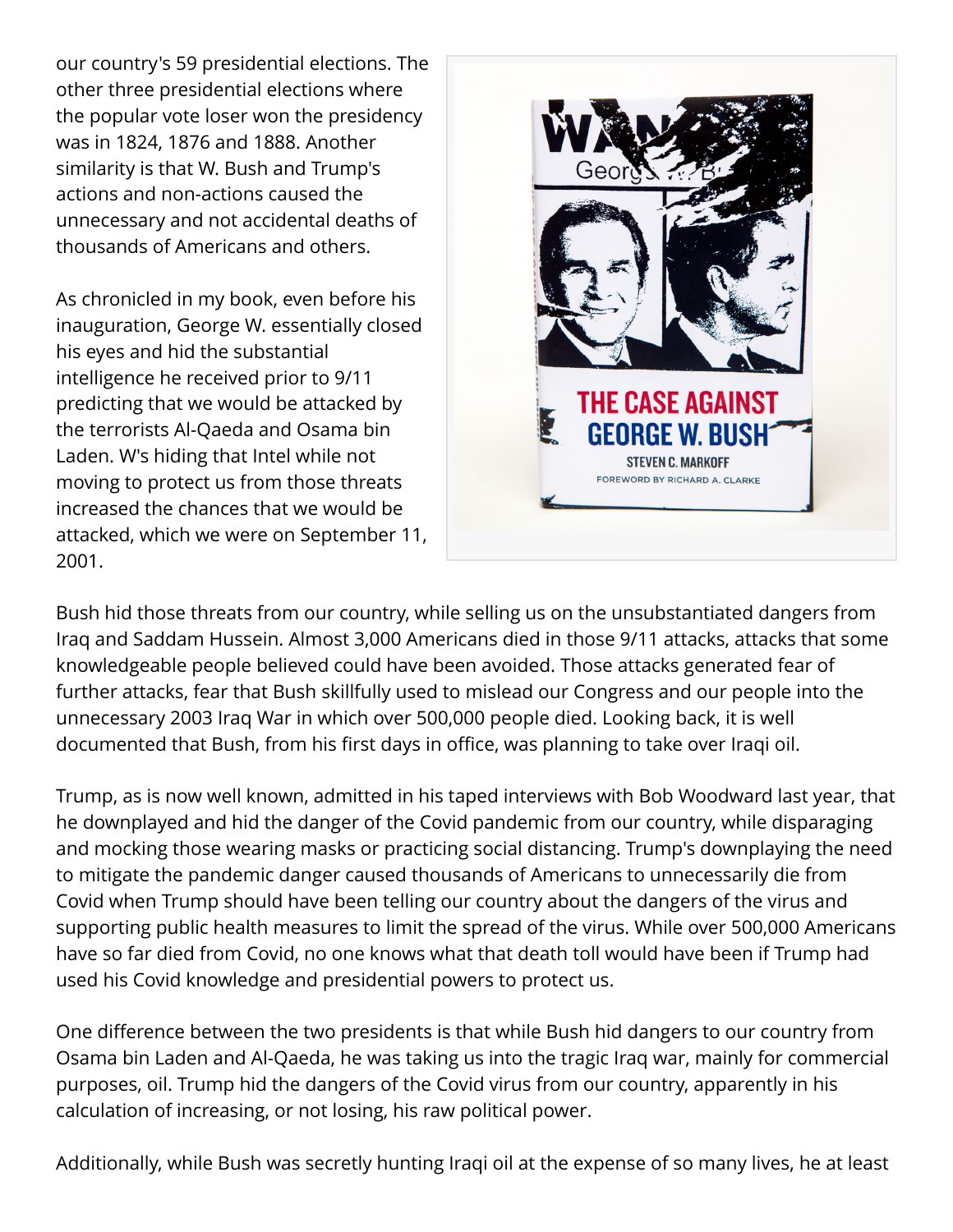our country's 59 presidential elections. The other three presidential elections where the popular vote loser won the presidency was in 1824, 1876 and 1888. Another similarity is that W. Bush and Trump's actions and non-actions caused the unnecessary and not accidental deaths of thousands of Americans and others.

As chronicled in my book, even before his inauguration, George W. essentially closed his eyes and hid the substantial intelligence he received prior to 9/11 predicting that we would be attacked by the terrorists Al-Qaeda and Osama bin Laden. W's hiding that Intel while not moving to protect us from those threats increased the chances that we would be attacked, which we were on September 11, 2001.



Bush hid those threats from our country, while selling us on the unsubstantiated dangers from Iraq and Saddam Hussein. Almost 3,000 Americans died in those 9/11 attacks, attacks that some knowledgeable people believed could have been avoided. Those attacks generated fear of further attacks, fear that Bush skillfully used to mislead our Congress and our people into the unnecessary 2003 Iraq War in which over 500,000 people died. Looking back, it is well documented that Bush, from his first days in office, was planning to take over Iraqi oil.

Trump, as is now well known, admitted in his taped interviews with Bob Woodward last year, that he downplayed and hid the danger of the Covid pandemic from our country, while disparaging and mocking those wearing masks or practicing social distancing. Trump's downplaying the need to mitigate the pandemic danger caused thousands of Americans to unnecessarily die from Covid when Trump should have been telling our country about the dangers of the virus and supporting public health measures to limit the spread of the virus. While over 500,000 Americans have so far died from Covid, no one knows what that death toll would have been if Trump had used his Covid knowledge and presidential powers to protect us.

One difference between the two presidents is that while Bush hid dangers to our country from Osama bin Laden and Al-Qaeda, he was taking us into the tragic Iraq war, mainly for commercial purposes, oil. Trump hid the dangers of the Covid virus from our country, apparently in his calculation of increasing, or not losing, his raw political power.

Additionally, while Bush was secretly hunting Iraqi oil at the expense of so many lives, he at least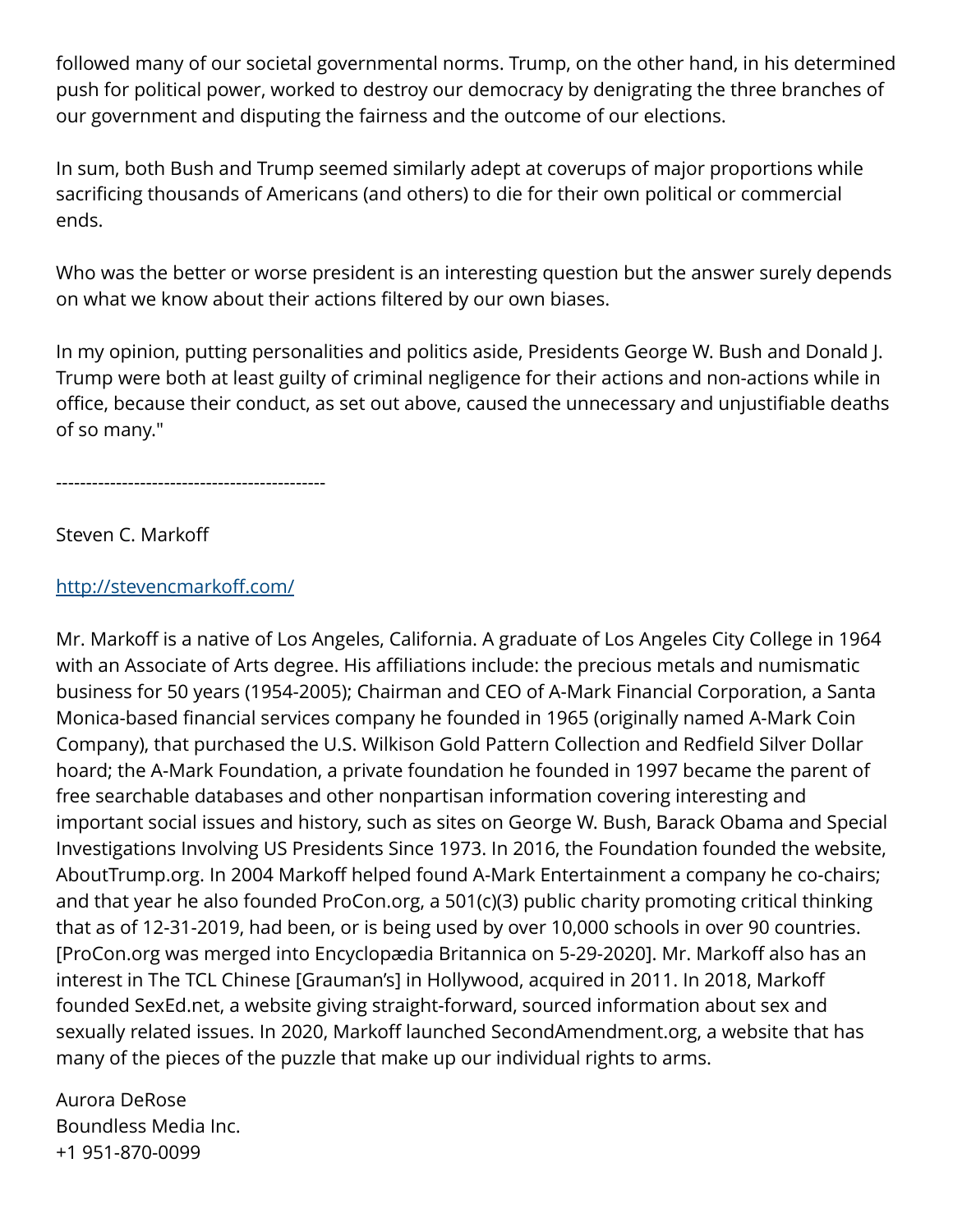followed many of our societal governmental norms. Trump, on the other hand, in his determined push for political power, worked to destroy our democracy by denigrating the three branches of our government and disputing the fairness and the outcome of our elections.

In sum, both Bush and Trump seemed similarly adept at coverups of major proportions while sacrificing thousands of Americans (and others) to die for their own political or commercial ends.

Who was the better or worse president is an interesting question but the answer surely depends on what we know about their actions filtered by our own biases.

In my opinion, putting personalities and politics aside, Presidents George W. Bush and Donald J. Trump were both at least guilty of criminal negligence for their actions and non-actions while in office, because their conduct, as set out above, caused the unnecessary and unjustifiable deaths of so many."

---------------------------------------------

Steven C. Markoff

## <http://stevencmarkoff.com/>

Mr. Markoff is a native of Los Angeles, California. A graduate of Los Angeles City College in 1964 with an Associate of Arts degree. His affiliations include: the precious metals and numismatic business for 50 years (1954-2005); Chairman and CEO of A-Mark Financial Corporation, a Santa Monica-based financial services company he founded in 1965 (originally named A-Mark Coin Company), that purchased the U.S. Wilkison Gold Pattern Collection and Redfield Silver Dollar hoard; the A-Mark Foundation, a private foundation he founded in 1997 became the parent of free searchable databases and other nonpartisan information covering interesting and important social issues and history, such as sites on George W. Bush, Barack Obama and Special Investigations Involving US Presidents Since 1973. In 2016, the Foundation founded the website, AboutTrump.org. In 2004 Markoff helped found A-Mark Entertainment a company he co-chairs; and that year he also founded ProCon.org, a 501(c)(3) public charity promoting critical thinking that as of 12-31-2019, had been, or is being used by over 10,000 schools in over 90 countries. [ProCon.org was merged into Encyclopædia Britannica on 5-29-2020]. Mr. Markoff also has an interest in The TCL Chinese [Grauman's] in Hollywood, acquired in 2011. In 2018, Markoff founded SexEd.net, a website giving straight-forward, sourced information about sex and sexually related issues. In 2020, Markoff launched SecondAmendment.org, a website that has many of the pieces of the puzzle that make up our individual rights to arms.

Aurora DeRose Boundless Media Inc. +1 951-870-0099